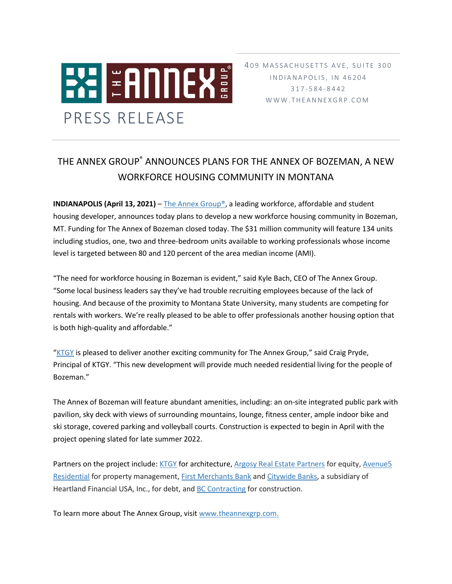

409 MASSACHUSETTS AVE, SUITE 300 I N D I A N A P O L I S, I N 4 6 2 0 4 317 - 5 8 4 - 8 4 4 2 W W W . T H E A N N E X G R P . C O M

## THE ANNEX GROUP® ANNOUNCES PLANS FOR THE ANNEX OF BOZEMAN, A NEW WORKFORCE HOUSING COMMUNITY IN MONTANA

**INDIANAPOLIS (April 13, 2021)** – The Annex Group<sup>®</sup>, a leading workforce, affordable and student housing developer, announces today plans to develop a new workforce housing community in Bozeman, MT. Funding for The Annex of Bozeman closed today. The \$31 million community will feature 134 units including studios, one, two and three-bedroom units available to working professionals whose income level is targeted between 80 and 120 percent of the area median income (AMI).

"The need for workforce housing in Bozeman is evident," said Kyle Bach, CEO of The Annex Group. "Some local business leaders say they've had trouble recruiting employees because of the lack of housing. And because of the proximity to Montana State University, many students are competing for rentals with workers. We're really pleased to be able to offer professionals another housing option that is both high-quality and affordable."

"[KTGY](http://ktgy.com/) is pleased to deliver another exciting community for The Annex Group," said Craig Pryde, Principal of KTGY. "This new development will provide much needed residential living for the people of Bozeman."

The Annex of Bozeman will feature abundant amenities, including: an on-site integrated public park with pavilion, sky deck with views of surrounding mountains, lounge, fitness center, ample indoor bike and ski storage, covered parking and volleyball courts. Construction is expected to begin in April with the project opening slated for late summer 2022.

Partners on the project include: [KTGY](http://ktgy.com/) for architecture[, Argosy Real Estate Partners](https://argosyrep.com/) for equity, Avenue5 [Residential](https://www.avenue5.com/) for property management[, First Merchants Bank](https://www.firstmerchants.com/) and [Citywide Banks,](https://www.citywidebanks.com/) a subsidiary of Heartland Financial USA, Inc., for debt, an[d BC Contracting](https://bccontractingco.com/) for construction.

To learn more about The Annex Group, visit [www.theannexgrp.com.](http://www.theannexgrp.com/)